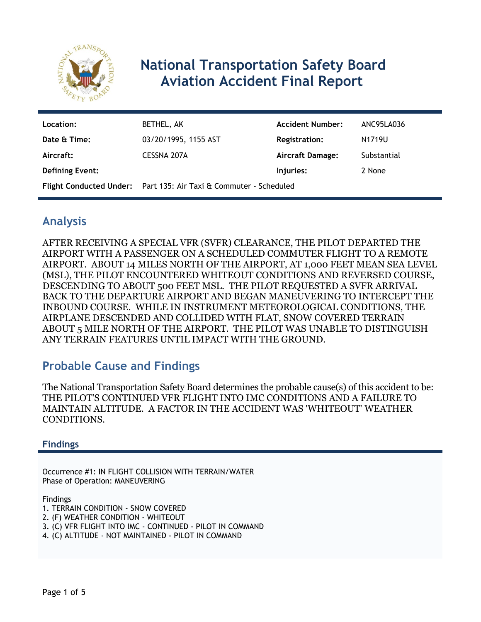

# **National Transportation Safety Board Aviation Accident Final Report**

| Location:              | BETHEL, AK                                                        | <b>Accident Number:</b> | ANC95LA036  |
|------------------------|-------------------------------------------------------------------|-------------------------|-------------|
| Date & Time:           | 03/20/1995, 1155 AST                                              | <b>Registration:</b>    | N1719U      |
| Aircraft:              | CESSNA 207A                                                       | Aircraft Damage:        | Substantial |
| <b>Defining Event:</b> |                                                                   | Injuries:               | 2 None      |
|                        | Flight Conducted Under: Part 135: Air Taxi & Commuter - Scheduled |                         |             |

### **Analysis**

AFTER RECEIVING A SPECIAL VFR (SVFR) CLEARANCE, THE PILOT DEPARTED THE AIRPORT WITH A PASSENGER ON A SCHEDULED COMMUTER FLIGHT TO A REMOTE AIRPORT. ABOUT 14 MILES NORTH OF THE AIRPORT, AT 1,000 FEET MEAN SEA LEVEL (MSL), THE PILOT ENCOUNTERED WHITEOUT CONDITIONS AND REVERSED COURSE, DESCENDING TO ABOUT 500 FEET MSL. THE PILOT REQUESTED A SVFR ARRIVAL BACK TO THE DEPARTURE AIRPORT AND BEGAN MANEUVERING TO INTERCEPT THE INBOUND COURSE. WHILE IN INSTRUMENT METEOROLOGICAL CONDITIONS, THE AIRPLANE DESCENDED AND COLLIDED WITH FLAT, SNOW COVERED TERRAIN ABOUT 5 MILE NORTH OF THE AIRPORT. THE PILOT WAS UNABLE TO DISTINGUISH ANY TERRAIN FEATURES UNTIL IMPACT WITH THE GROUND.

# **Probable Cause and Findings**

The National Transportation Safety Board determines the probable cause(s) of this accident to be: THE PILOT'S CONTINUED VFR FLIGHT INTO IMC CONDITIONS AND A FAILURE TO MAINTAIN ALTITUDE. A FACTOR IN THE ACCIDENT WAS 'WHITEOUT' WEATHER CONDITIONS.

#### **Findings**

Occurrence #1: IN FLIGHT COLLISION WITH TERRAIN/WATER Phase of Operation: MANEUVERING

Findings

- 1. TERRAIN CONDITION SNOW COVERED
- 2. (F) WEATHER CONDITION WHITEOUT
- 3. (C) VFR FLIGHT INTO IMC CONTINUED PILOT IN COMMAND
- 4. (C) ALTITUDE NOT MAINTAINED PILOT IN COMMAND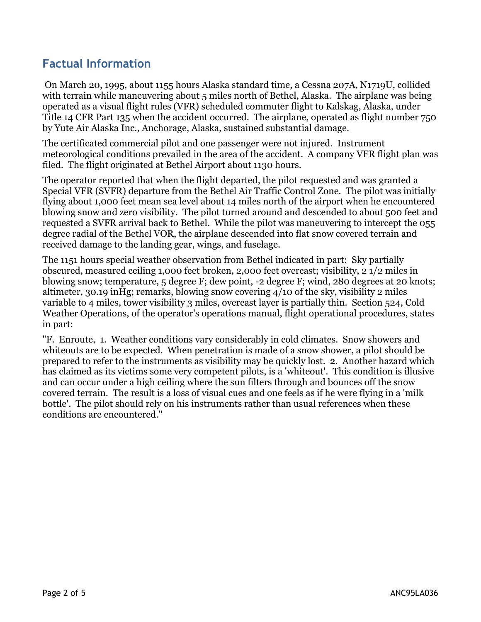# **Factual Information**

 On March 20, 1995, about 1155 hours Alaska standard time, a Cessna 207A, N1719U, collided with terrain while maneuvering about 5 miles north of Bethel, Alaska. The airplane was being operated as a visual flight rules (VFR) scheduled commuter flight to Kalskag, Alaska, under Title 14 CFR Part 135 when the accident occurred. The airplane, operated as flight number 750 by Yute Air Alaska Inc., Anchorage, Alaska, sustained substantial damage.

The certificated commercial pilot and one passenger were not injured. Instrument meteorological conditions prevailed in the area of the accident. A company VFR flight plan was filed. The flight originated at Bethel Airport about 1130 hours.

The operator reported that when the flight departed, the pilot requested and was granted a Special VFR (SVFR) departure from the Bethel Air Traffic Control Zone. The pilot was initially flying about 1,000 feet mean sea level about 14 miles north of the airport when he encountered blowing snow and zero visibility. The pilot turned around and descended to about 500 feet and requested a SVFR arrival back to Bethel. While the pilot was maneuvering to intercept the 055 degree radial of the Bethel VOR, the airplane descended into flat snow covered terrain and received damage to the landing gear, wings, and fuselage.

The 1151 hours special weather observation from Bethel indicated in part: Sky partially obscured, measured ceiling 1,000 feet broken, 2,000 feet overcast; visibility, 2 1/2 miles in blowing snow; temperature, 5 degree F; dew point, -2 degree F; wind, 280 degrees at 20 knots; altimeter, 30.19 inHg; remarks, blowing snow covering 4/10 of the sky, visibility 2 miles variable to 4 miles, tower visibility 3 miles, overcast layer is partially thin. Section 524, Cold Weather Operations, of the operator's operations manual, flight operational procedures, states in part:

"F. Enroute, 1. Weather conditions vary considerably in cold climates. Snow showers and whiteouts are to be expected. When penetration is made of a snow shower, a pilot should be prepared to refer to the instruments as visibility may be quickly lost. 2. Another hazard which has claimed as its victims some very competent pilots, is a 'whiteout'. This condition is illusive and can occur under a high ceiling where the sun filters through and bounces off the snow covered terrain. The result is a loss of visual cues and one feels as if he were flying in a 'milk bottle'. The pilot should rely on his instruments rather than usual references when these conditions are encountered."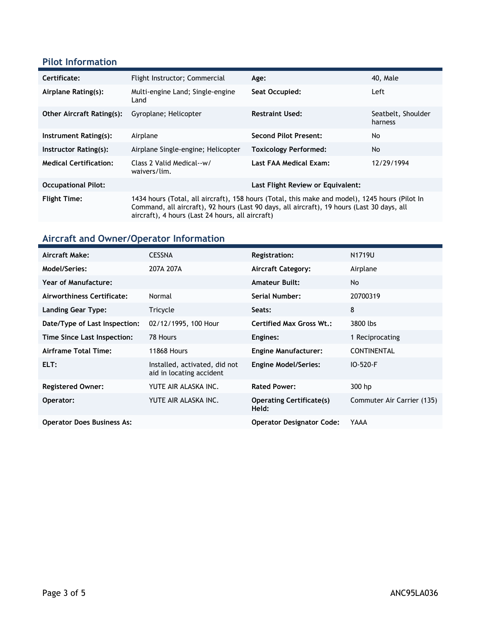### **Pilot Information**

| Certificate:                     | Flight Instructor; Commercial                                                                                                                                                                                                                    | Age:                         | 40, Male                      |  |
|----------------------------------|--------------------------------------------------------------------------------------------------------------------------------------------------------------------------------------------------------------------------------------------------|------------------------------|-------------------------------|--|
| Airplane Rating(s):              | Multi-engine Land; Single-engine<br>Land                                                                                                                                                                                                         | Seat Occupied:               | Left                          |  |
| <b>Other Aircraft Rating(s):</b> | Gyroplane; Helicopter                                                                                                                                                                                                                            | <b>Restraint Used:</b>       | Seatbelt, Shoulder<br>harness |  |
| Instrument Rating(s):            | Airplane                                                                                                                                                                                                                                         | <b>Second Pilot Present:</b> | No                            |  |
| Instructor Rating(s):            | Airplane Single-engine; Helicopter                                                                                                                                                                                                               | <b>Toxicology Performed:</b> | No.                           |  |
| <b>Medical Certification:</b>    | Class 2 Valid Medical--w/<br>12/29/1994<br>Last FAA Medical Exam:<br>waivers/lim.                                                                                                                                                                |                              |                               |  |
| <b>Occupational Pilot:</b>       | Last Flight Review or Equivalent:                                                                                                                                                                                                                |                              |                               |  |
| <b>Flight Time:</b>              | 1434 hours (Total, all aircraft), 158 hours (Total, this make and model), 1245 hours (Pilot In<br>Command, all aircraft), 92 hours (Last 90 days, all aircraft), 19 hours (Last 30 days, all<br>aircraft), 4 hours (Last 24 hours, all aircraft) |                              |                               |  |

# **Aircraft and Owner/Operator Information**

| Aircraft Make:                    | <b>CESSNA</b>                                             | <b>Registration:</b>                     | N1719U                     |
|-----------------------------------|-----------------------------------------------------------|------------------------------------------|----------------------------|
| Model/Series:                     | 207A 207A                                                 | <b>Aircraft Category:</b>                | Airplane                   |
| <b>Year of Manufacture:</b>       |                                                           | <b>Amateur Built:</b>                    | No                         |
| Airworthiness Certificate:        | Normal                                                    | Serial Number:                           | 20700319                   |
| Landing Gear Type:                | Tricycle                                                  | Seats:                                   | 8                          |
| Date/Type of Last Inspection:     | 02/12/1995, 100 Hour                                      | <b>Certified Max Gross Wt.:</b>          | 3800 lbs                   |
| Time Since Last Inspection:       | 78 Hours                                                  | Engines:                                 | 1 Reciprocating            |
| Airframe Total Time:              | <b>11868 Hours</b>                                        | <b>Engine Manufacturer:</b>              | <b>CONTINENTAL</b>         |
| ELT:                              | Installed, activated, did not<br>aid in locating accident | <b>Engine Model/Series:</b>              | $IO - 520 - F$             |
| <b>Registered Owner:</b>          | YUTE AIR ALASKA INC.                                      | <b>Rated Power:</b>                      | 300 hp                     |
| Operator:                         | YUTE AIR ALASKA INC.                                      | <b>Operating Certificate(s)</b><br>Held: | Commuter Air Carrier (135) |
| <b>Operator Does Business As:</b> |                                                           | <b>Operator Designator Code:</b>         | YAAA                       |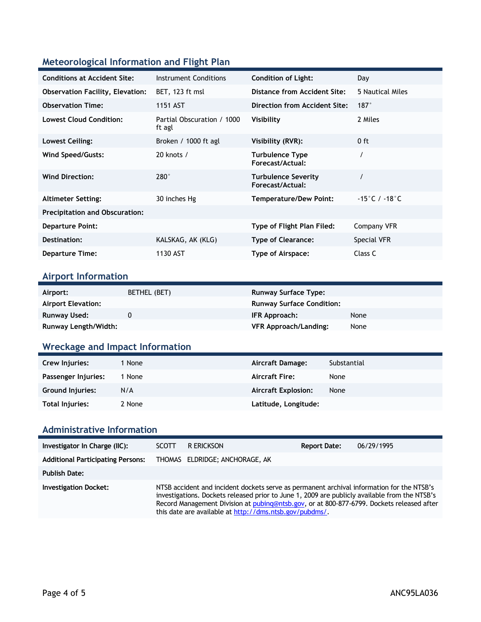### **Meteorological Information and Flight Plan**

| <b>Conditions at Accident Site:</b>     | Instrument Conditions                | <b>Condition of Light:</b>                     | Day                             |
|-----------------------------------------|--------------------------------------|------------------------------------------------|---------------------------------|
| <b>Observation Facility, Elevation:</b> | BET, 123 ft msl                      | Distance from Accident Site:                   | 5 Nautical Miles                |
| <b>Observation Time:</b>                | 1151 AST                             | Direction from Accident Site:                  | $187^\circ$                     |
| <b>Lowest Cloud Condition:</b>          | Partial Obscuration / 1000<br>ft agl | Visibility                                     | 2 Miles                         |
| Lowest Ceiling:                         | Broken / 1000 ft agl                 | Visibility (RVR):                              | $0$ ft                          |
| Wind Speed/Gusts:                       | 20 knots /                           | <b>Turbulence Type</b><br>Forecast/Actual:     |                                 |
| <b>Wind Direction:</b>                  | $280^\circ$                          | <b>Turbulence Severity</b><br>Forecast/Actual: |                                 |
| <b>Altimeter Setting:</b>               | 30 inches Hg                         | <b>Temperature/Dew Point:</b>                  | $-15\degree$ C / $-18\degree$ C |
| <b>Precipitation and Obscuration:</b>   |                                      |                                                |                                 |
| <b>Departure Point:</b>                 |                                      | Type of Flight Plan Filed:                     | Company VFR                     |
| Destination:                            | KALSKAG, AK (KLG)                    | <b>Type of Clearance:</b>                      | Special VFR                     |
| <b>Departure Time:</b>                  | 1130 AST                             | Type of Airspace:                              | Class C                         |

#### **Airport Information**

| Airport:             | BETHEL (BET) | <b>Runway Surface Type:</b>      |      |
|----------------------|--------------|----------------------------------|------|
| Airport Elevation:   |              | <b>Runway Surface Condition:</b> |      |
| Runway Used:         |              | IFR Approach:                    | None |
| Runway Length/Width: |              | VFR Approach/Landing:            | None |

### **Wreckage and Impact Information**

| Crew Injuries:          | 1 None | Aircraft Damage:           | Substantial |
|-------------------------|--------|----------------------------|-------------|
| Passenger Injuries:     | None   | <b>Aircraft Fire:</b>      | None        |
| <b>Ground Injuries:</b> | N/A    | <b>Aircraft Explosion:</b> | None        |
| Total Injuries:         | 2 None | Latitude, Longitude:       |             |

#### **Administrative Information**

| Investigator In Charge (IIC):            | <b>SCOTT</b> | R ERICKSON                                                                                                                                                                                                                                                                                                                                         | <b>Report Date:</b> | 06/29/1995 |
|------------------------------------------|--------------|----------------------------------------------------------------------------------------------------------------------------------------------------------------------------------------------------------------------------------------------------------------------------------------------------------------------------------------------------|---------------------|------------|
| <b>Additional Participating Persons:</b> |              | THOMAS ELDRIDGE; ANCHORAGE, AK                                                                                                                                                                                                                                                                                                                     |                     |            |
| <b>Publish Date:</b>                     |              |                                                                                                                                                                                                                                                                                                                                                    |                     |            |
| <b>Investigation Docket:</b>             |              | NTSB accident and incident dockets serve as permanent archival information for the NTSB's<br>investigations. Dockets released prior to June 1, 2009 are publicly available from the NTSB's<br>Record Management Division at pubing@ntsb.gov, or at 800-877-6799. Dockets released after<br>this date are available at http://dms.ntsb.gov/pubdms/. |                     |            |